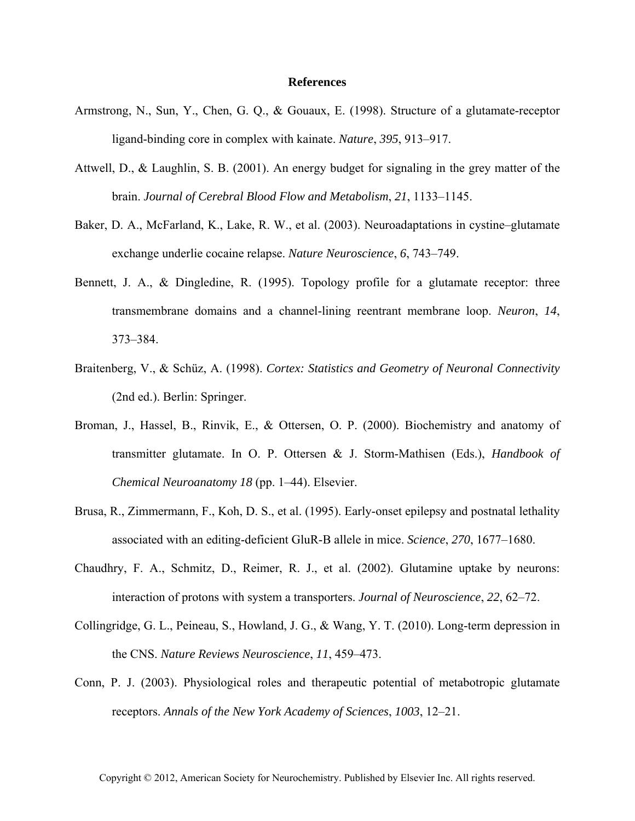## **References**

- Armstrong, N., Sun, Y., Chen, G. Q., & Gouaux, E. (1998). Structure of a glutamate-receptor ligand-binding core in complex with kainate. *Nature*, *395*, 913–917.
- Attwell, D., & Laughlin, S. B. (2001). An energy budget for signaling in the grey matter of the brain. *Journal of Cerebral Blood Flow and Metabolism*, *21*, 1133–1145.
- Baker, D. A., McFarland, K., Lake, R. W., et al. (2003). Neuroadaptations in cystine–glutamate exchange underlie cocaine relapse. *Nature Neuroscience*, *6*, 743–749.
- Bennett, J. A., & Dingledine, R. (1995). Topology profile for a glutamate receptor: three transmembrane domains and a channel-lining reentrant membrane loop. *Neuron*, *14*, 373–384.
- Braitenberg, V., & Schüz, A. (1998). *Cortex: Statistics and Geometry of Neuronal Connectivity* (2nd ed.). Berlin: Springer.
- Broman, J., Hassel, B., Rinvik, E., & Ottersen, O. P. (2000). Biochemistry and anatomy of transmitter glutamate. In O. P. Ottersen & J. Storm-Mathisen (Eds.), *Handbook of Chemical Neuroanatomy 18* (pp. 1–44). Elsevier.
- Brusa, R., Zimmermann, F., Koh, D. S., et al. (1995). Early-onset epilepsy and postnatal lethality associated with an editing-deficient GluR-B allele in mice. *Science*, *270*, 1677–1680.
- Chaudhry, F. A., Schmitz, D., Reimer, R. J., et al. (2002). Glutamine uptake by neurons: interaction of protons with system a transporters. *Journal of Neuroscience*, *22*, 62–72.
- Collingridge, G. L., Peineau, S., Howland, J. G., & Wang, Y. T. (2010). Long-term depression in the CNS. *Nature Reviews Neuroscience*, *11*, 459–473.
- Conn, P. J. (2003). Physiological roles and therapeutic potential of metabotropic glutamate receptors. *Annals of the New York Academy of Sciences*, *1003*, 12–21.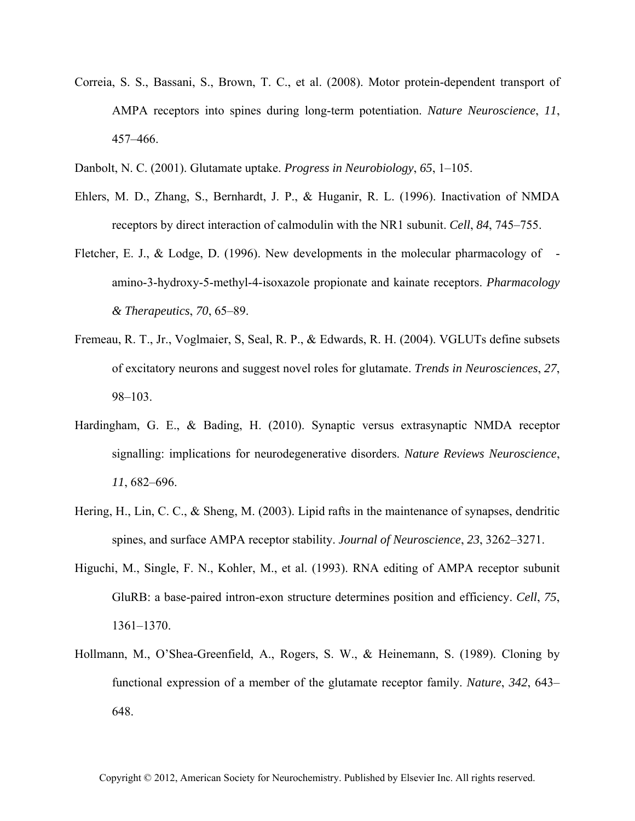- Correia, S. S., Bassani, S., Brown, T. C., et al. (2008). Motor protein-dependent transport of AMPA receptors into spines during long-term potentiation. *Nature Neuroscience*, *11*, 457–466.
- Danbolt, N. C. (2001). Glutamate uptake. *Progress in Neurobiology*, *65*, 1–105.
- Ehlers, M. D., Zhang, S., Bernhardt, J. P., & Huganir, R. L. (1996). Inactivation of NMDA receptors by direct interaction of calmodulin with the NR1 subunit. *Cell*, *84*, 745–755.
- Fletcher, E. J., & Lodge, D. (1996). New developments in the molecular pharmacology of amino-3-hydroxy-5-methyl-4-isoxazole propionate and kainate receptors. *Pharmacology & Therapeutics*, *70*, 65–89.
- Fremeau, R. T., Jr., Voglmaier, S, Seal, R. P., & Edwards, R. H. (2004). VGLUTs define subsets of excitatory neurons and suggest novel roles for glutamate. *Trends in Neurosciences*, *27*, 98–103.
- Hardingham, G. E., & Bading, H. (2010). Synaptic versus extrasynaptic NMDA receptor signalling: implications for neurodegenerative disorders. *Nature Reviews Neuroscience*, *11*, 682–696.
- Hering, H., Lin, C. C., & Sheng, M. (2003). Lipid rafts in the maintenance of synapses, dendritic spines, and surface AMPA receptor stability. *Journal of Neuroscience*, *23*, 3262–3271.
- Higuchi, M., Single, F. N., Kohler, M., et al. (1993). RNA editing of AMPA receptor subunit GluRB: a base-paired intron-exon structure determines position and efficiency. *Cell*, *75*, 1361–1370.
- Hollmann, M., O'Shea-Greenfield, A., Rogers, S. W., & Heinemann, S. (1989). Cloning by functional expression of a member of the glutamate receptor family. *Nature*, *342*, 643– 648.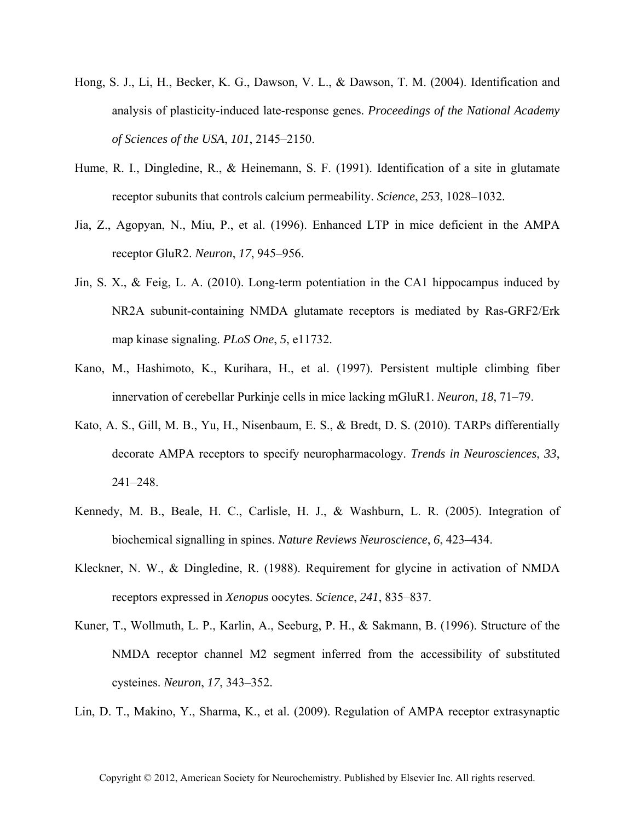- Hong, S. J., Li, H., Becker, K. G., Dawson, V. L., & Dawson, T. M. (2004). Identification and analysis of plasticity-induced late-response genes. *Proceedings of the National Academy of Sciences of the USA*, *101*, 2145–2150.
- Hume, R. I., Dingledine, R., & Heinemann, S. F. (1991). Identification of a site in glutamate receptor subunits that controls calcium permeability. *Science*, *253*, 1028–1032.
- Jia, Z., Agopyan, N., Miu, P., et al. (1996). Enhanced LTP in mice deficient in the AMPA receptor GluR2. *Neuron*, *17*, 945–956.
- Jin, S. X., & Feig, L. A. (2010). Long-term potentiation in the CA1 hippocampus induced by NR2A subunit-containing NMDA glutamate receptors is mediated by Ras-GRF2/Erk map kinase signaling. *PLoS One*, *5*, e11732.
- Kano, M., Hashimoto, K., Kurihara, H., et al. (1997). Persistent multiple climbing fiber innervation of cerebellar Purkinje cells in mice lacking mGluR1. *Neuron*, *18*, 71–79.
- Kato, A. S., Gill, M. B., Yu, H., Nisenbaum, E. S., & Bredt, D. S. (2010). TARPs differentially decorate AMPA receptors to specify neuropharmacology. *Trends in Neurosciences*, *33*, 241–248.
- Kennedy, M. B., Beale, H. C., Carlisle, H. J., & Washburn, L. R. (2005). Integration of biochemical signalling in spines. *Nature Reviews Neuroscience*, *6*, 423–434.
- Kleckner, N. W., & Dingledine, R. (1988). Requirement for glycine in activation of NMDA receptors expressed in *Xenopu*s oocytes. *Science*, *241*, 835–837.
- Kuner, T., Wollmuth, L. P., Karlin, A., Seeburg, P. H., & Sakmann, B. (1996). Structure of the NMDA receptor channel M2 segment inferred from the accessibility of substituted cysteines. *Neuron*, *17*, 343–352.
- Lin, D. T., Makino, Y., Sharma, K., et al. (2009). Regulation of AMPA receptor extrasynaptic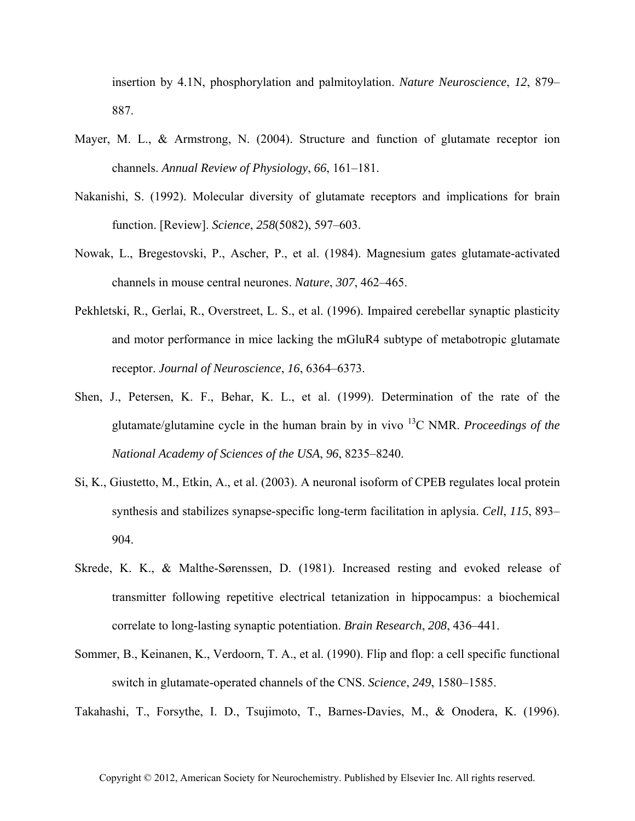insertion by 4.1N, phosphorylation and palmitoylation. *Nature Neuroscience*, *12*, 879– 887.

- Mayer, M. L., & Armstrong, N. (2004). Structure and function of glutamate receptor ion channels. *Annual Review of Physiology*, *66*, 161–181.
- Nakanishi, S. (1992). Molecular diversity of glutamate receptors and implications for brain function. [Review]. *Science*, *258*(5082), 597–603.
- Nowak, L., Bregestovski, P., Ascher, P., et al. (1984). Magnesium gates glutamate-activated channels in mouse central neurones. *Nature*, *307*, 462–465.
- Pekhletski, R., Gerlai, R., Overstreet, L. S., et al. (1996). Impaired cerebellar synaptic plasticity and motor performance in mice lacking the mGluR4 subtype of metabotropic glutamate receptor. *Journal of Neuroscience*, *16*, 6364–6373.
- Shen, J., Petersen, K. F., Behar, K. L., et al. (1999). Determination of the rate of the glutamate/glutamine cycle in the human brain by in vivo 13C NMR. *Proceedings of the National Academy of Sciences of the USA*, *96*, 8235–8240.
- Si, K., Giustetto, M., Etkin, A., et al. (2003). A neuronal isoform of CPEB regulates local protein synthesis and stabilizes synapse-specific long-term facilitation in aplysia. *Cell*, *115*, 893– 904.
- Skrede, K. K., & Malthe-Sørenssen, D. (1981). Increased resting and evoked release of transmitter following repetitive electrical tetanization in hippocampus: a biochemical correlate to long-lasting synaptic potentiation. *Brain Research*, *208*, 436–441.
- Sommer, B., Keinanen, K., Verdoorn, T. A., et al. (1990). Flip and flop: a cell specific functional switch in glutamate-operated channels of the CNS. *Science*, *249*, 1580–1585.

Takahashi, T., Forsythe, I. D., Tsujimoto, T., Barnes-Davies, M., & Onodera, K. (1996).